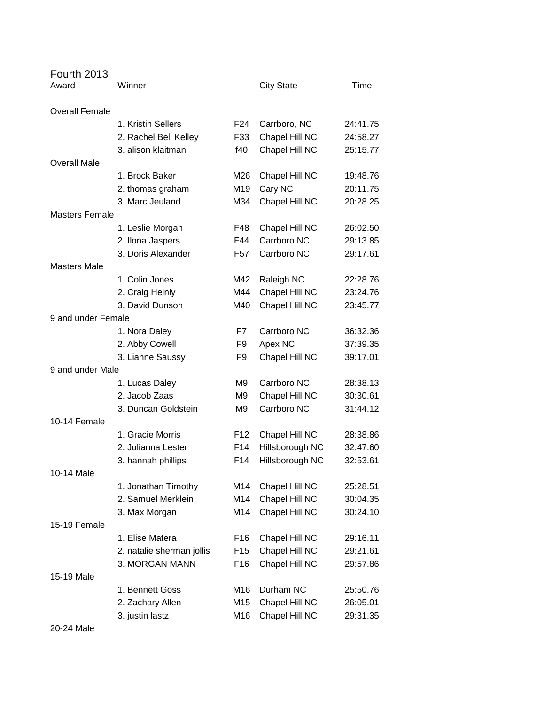| Fourth 2013           |                           |                 |                   |          |
|-----------------------|---------------------------|-----------------|-------------------|----------|
| Award                 | Winner                    |                 | <b>City State</b> | Time     |
| <b>Overall Female</b> |                           |                 |                   |          |
|                       | 1. Kristin Sellers        | F <sub>24</sub> | Carrboro, NC      | 24:41.75 |
|                       | 2. Rachel Bell Kelley     | F33             | Chapel Hill NC    | 24:58.27 |
|                       | 3. alison klaitman        | f40             | Chapel Hill NC    | 25:15.77 |
| <b>Overall Male</b>   |                           |                 |                   |          |
|                       | 1. Brock Baker            | M26             | Chapel Hill NC    | 19:48.76 |
|                       | 2. thomas graham          | M19             | Cary NC           | 20:11.75 |
|                       | 3. Marc Jeuland           | M34             | Chapel Hill NC    | 20:28.25 |
| <b>Masters Female</b> |                           |                 |                   |          |
|                       | 1. Leslie Morgan          | F48             | Chapel Hill NC    | 26:02.50 |
|                       | 2. Ilona Jaspers          | F44             | Carrboro NC       | 29:13.85 |
|                       | 3. Doris Alexander        | F57             | Carrboro NC       | 29:17.61 |
| <b>Masters Male</b>   |                           |                 |                   |          |
|                       | 1. Colin Jones            | M42             | Raleigh NC        | 22:28.76 |
|                       | 2. Craig Heinly           | M44             | Chapel Hill NC    | 23:24.76 |
|                       | 3. David Dunson           | M40             | Chapel Hill NC    | 23:45.77 |
| 9 and under Female    |                           |                 |                   |          |
|                       | 1. Nora Daley             | F7              | Carrboro NC       | 36:32.36 |
|                       | 2. Abby Cowell            | F <sub>9</sub>  | Apex NC           | 37:39.35 |
|                       | 3. Lianne Saussy          | F <sub>9</sub>  | Chapel Hill NC    | 39:17.01 |
| 9 and under Male      |                           |                 |                   |          |
|                       | 1. Lucas Daley            | M9              | Carrboro NC       | 28:38.13 |
|                       | 2. Jacob Zaas             | M <sub>9</sub>  | Chapel Hill NC    | 30:30.61 |
|                       | 3. Duncan Goldstein       | M <sub>9</sub>  | Carrboro NC       | 31:44.12 |
| 10-14 Female          |                           |                 |                   |          |
|                       | 1. Gracie Morris          | F <sub>12</sub> | Chapel Hill NC    | 28:38.86 |
|                       | 2. Julianna Lester        | F14             | Hillsborough NC   | 32:47.60 |
|                       | 3. hannah phillips        | F14             | Hillsborough NC   | 32:53.61 |
| 10-14 Male            |                           |                 |                   |          |
|                       | 1. Jonathan Timothy       | M14             | Chapel Hill NC    | 25:28.51 |
|                       | 2. Samuel Merklein        | M14             | Chapel Hill NC    | 30:04.35 |
|                       | 3. Max Morgan             | M14             | Chapel Hill NC    | 30:24.10 |
| 15-19 Female          |                           |                 |                   |          |
|                       | 1. Elise Matera           | F16             | Chapel Hill NC    | 29:16.11 |
|                       | 2. natalie sherman jollis | F <sub>15</sub> | Chapel Hill NC    | 29:21.61 |
|                       | 3. MORGAN MANN            | F <sub>16</sub> | Chapel Hill NC    | 29:57.86 |
| 15-19 Male            |                           |                 |                   |          |
|                       | 1. Bennett Goss           | M16             | Durham NC         | 25:50.76 |
|                       | 2. Zachary Allen          | M15             | Chapel Hill NC    | 26:05.01 |
|                       | 3. justin lastz           | M16             | Chapel Hill NC    | 29:31.35 |

20-24 Male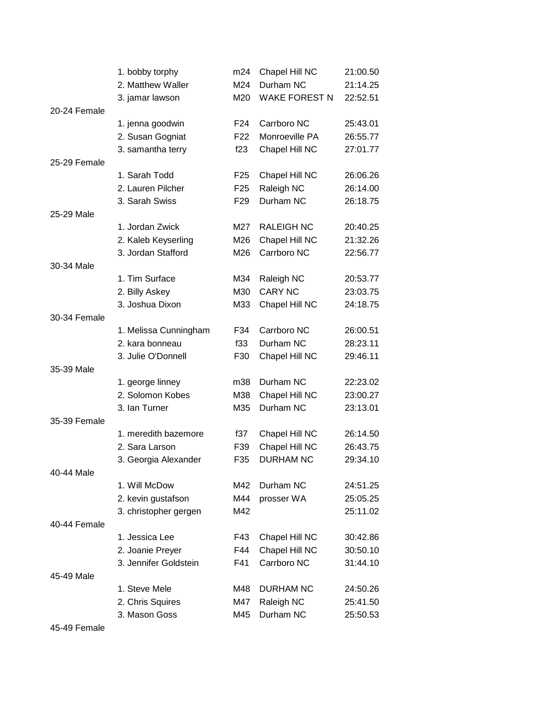|              | 1. bobby torphy       | m24             | Chapel Hill NC       | 21:00.50 |
|--------------|-----------------------|-----------------|----------------------|----------|
|              | 2. Matthew Waller     | M24             | Durham NC            | 21:14.25 |
|              | 3. jamar lawson       | M20             | <b>WAKE FOREST N</b> | 22:52.51 |
| 20-24 Female |                       |                 |                      |          |
|              | 1. jenna goodwin      | F24             | Carrboro NC          | 25:43.01 |
|              | 2. Susan Gogniat      | F <sub>22</sub> | Monroeville PA       | 26:55.77 |
|              | 3. samantha terry     | f23             | Chapel Hill NC       | 27:01.77 |
| 25-29 Female |                       |                 |                      |          |
|              | 1. Sarah Todd         | F <sub>25</sub> | Chapel Hill NC       | 26:06.26 |
|              | 2. Lauren Pilcher     | F <sub>25</sub> | Raleigh NC           | 26:14.00 |
|              | 3. Sarah Swiss        | F <sub>29</sub> | Durham NC            | 26:18.75 |
| 25-29 Male   |                       |                 |                      |          |
|              | 1. Jordan Zwick       | M27             | <b>RALEIGH NC</b>    | 20:40.25 |
|              | 2. Kaleb Keyserling   | M26             | Chapel Hill NC       | 21:32.26 |
|              | 3. Jordan Stafford    | M26             | Carrboro NC          | 22:56.77 |
| 30-34 Male   |                       |                 |                      |          |
|              | 1. Tim Surface        | M34             | Raleigh NC           | 20:53.77 |
|              | 2. Billy Askey        | M30             | <b>CARY NC</b>       | 23:03.75 |
|              | 3. Joshua Dixon       | M33             | Chapel Hill NC       | 24:18.75 |
| 30-34 Female |                       |                 |                      |          |
|              | 1. Melissa Cunningham | F34             | Carrboro NC          | 26:00.51 |
|              | 2. kara bonneau       | f33             | Durham NC            | 28:23.11 |
|              | 3. Julie O'Donnell    | F30             | Chapel Hill NC       | 29:46.11 |
| 35-39 Male   |                       |                 |                      |          |
|              | 1. george linney      | m38             | Durham NC            | 22:23.02 |
|              | 2. Solomon Kobes      | M38             | Chapel Hill NC       | 23:00.27 |
|              | 3. Ian Turner         | M35             | Durham NC            | 23:13.01 |
| 35-39 Female |                       |                 |                      |          |
|              | 1. meredith bazemore  | f37             | Chapel Hill NC       | 26:14.50 |
|              | 2. Sara Larson        | F39             | Chapel Hill NC       | 26:43.75 |
|              | 3. Georgia Alexander  | F35             | <b>DURHAM NC</b>     | 29:34.10 |
| 40-44 Male   |                       |                 |                      |          |
|              | 1. Will McDow         | M42             | Durham NC            | 24:51.25 |
|              | 2. kevin gustafson    | M44             | prosser WA           | 25:05.25 |
|              | 3. christopher gergen | M42             |                      | 25:11.02 |
| 40-44 Female |                       |                 |                      |          |
|              | 1. Jessica Lee        | F43             | Chapel Hill NC       | 30:42.86 |
|              | 2. Joanie Preyer      | F44             | Chapel Hill NC       | 30:50.10 |
|              | 3. Jennifer Goldstein | F41             | Carrboro NC          | 31:44.10 |
| 45-49 Male   |                       |                 |                      |          |
|              | 1. Steve Mele         | M48             | <b>DURHAM NC</b>     | 24:50.26 |
|              | 2. Chris Squires      | M47             | Raleigh NC           | 25:41.50 |
|              | 3. Mason Goss         | M45             | Durham NC            | 25:50.53 |
|              |                       |                 |                      |          |

45-49 Female